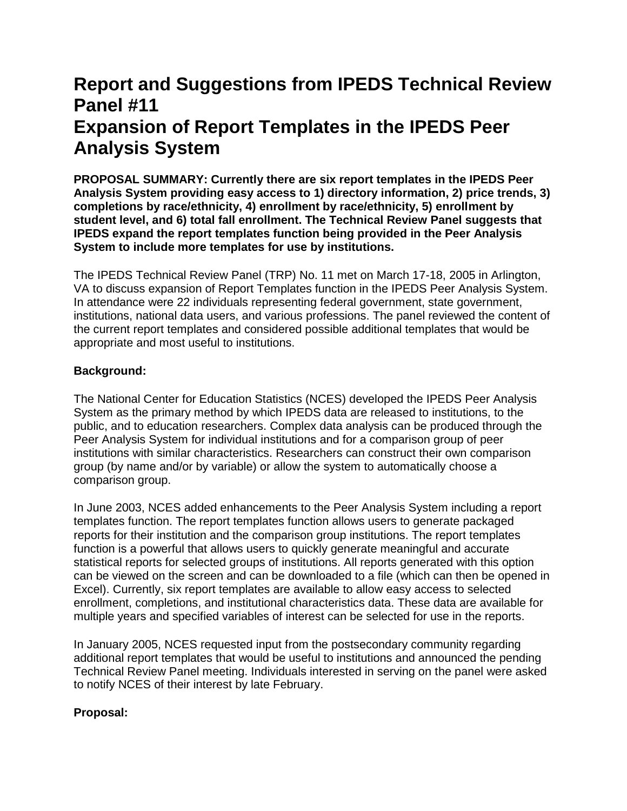## **Report and Suggestions from IPEDS Technical Review Panel #11 Expansion of Report Templates in the IPEDS Peer Analysis System**

**PROPOSAL SUMMARY: Currently there are six report templates in the IPEDS Peer Analysis System providing easy access to 1) directory information, 2) price trends, 3) completions by race/ethnicity, 4) enrollment by race/ethnicity, 5) enrollment by student level, and 6) total fall enrollment. The Technical Review Panel suggests that IPEDS expand the report templates function being provided in the Peer Analysis System to include more templates for use by institutions.**

The IPEDS Technical Review Panel (TRP) No. 11 met on March 17-18, 2005 in Arlington, VA to discuss expansion of Report Templates function in the IPEDS Peer Analysis System. In attendance were 22 individuals representing federal government, state government, institutions, national data users, and various professions. The panel reviewed the content of the current report templates and considered possible additional templates that would be appropriate and most useful to institutions.

## **Background:**

The National Center for Education Statistics (NCES) developed the IPEDS Peer Analysis System as the primary method by which IPEDS data are released to institutions, to the public, and to education researchers. Complex data analysis can be produced through the Peer Analysis System for individual institutions and for a comparison group of peer institutions with similar characteristics. Researchers can construct their own comparison group (by name and/or by variable) or allow the system to automatically choose a comparison group.

In June 2003, NCES added enhancements to the Peer Analysis System including a report templates function. The report templates function allows users to generate packaged reports for their institution and the comparison group institutions. The report templates function is a powerful that allows users to quickly generate meaningful and accurate statistical reports for selected groups of institutions. All reports generated with this option can be viewed on the screen and can be downloaded to a file (which can then be opened in Excel). Currently, six report templates are available to allow easy access to selected enrollment, completions, and institutional characteristics data. These data are available for multiple years and specified variables of interest can be selected for use in the reports.

In January 2005, NCES requested input from the postsecondary community regarding additional report templates that would be useful to institutions and announced the pending Technical Review Panel meeting. Individuals interested in serving on the panel were asked to notify NCES of their interest by late February.

## **Proposal:**